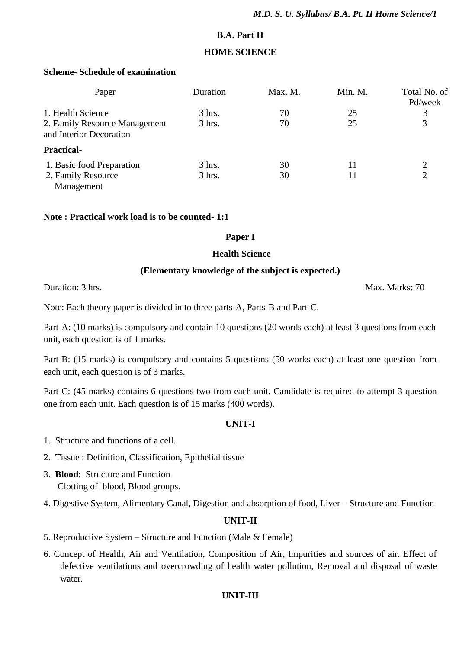## **B.A. Part II**

## **HOME SCIENCE**

## **Scheme- Schedule of examination**

| Paper                                                    | Duration | Max. M. | Min. M. | Total No. of<br>Pd/week |
|----------------------------------------------------------|----------|---------|---------|-------------------------|
| 1. Health Science                                        | $3$ hrs. | 70      | 25      | 3                       |
| 2. Family Resource Management<br>and Interior Decoration | $3$ hrs. | 70      | 25      | 3                       |
| <b>Practical-</b>                                        |          |         |         |                         |
| 1. Basic food Preparation                                | $3$ hrs. | 30      | 11      | 2                       |
| 2. Family Resource                                       | $3$ hrs. | 30      |         | $\overline{2}$          |
| Management                                               |          |         |         |                         |

#### **Note : Practical work load is to be counted- 1:1**

#### **Paper I**

#### **Health Science**

#### **(Elementary knowledge of the subject is expected.)**

Duration: 3 hrs. Max. Marks: 70

Note: Each theory paper is divided in to three parts-A, Parts-B and Part-C.

Part-A: (10 marks) is compulsory and contain 10 questions (20 words each) at least 3 questions from each unit, each question is of 1 marks.

Part-B: (15 marks) is compulsory and contains 5 questions (50 works each) at least one question from each unit, each question is of 3 marks.

Part-C: (45 marks) contains 6 questions two from each unit. Candidate is required to attempt 3 question one from each unit. Each question is of 15 marks (400 words).

#### **UNIT-I**

- 1. Structure and functions of a cell.
- 2. Tissue : Definition, Classification, Epithelial tissue
- 3. **Blood**: Structure and Function Clotting of blood, Blood groups.
- 4. Digestive System, Alimentary Canal, Digestion and absorption of food, Liver Structure and Function

## **UNIT-II**

- 5. Reproductive System Structure and Function (Male & Female)
- 6. Concept of Health, Air and Ventilation, Composition of Air, Impurities and sources of air. Effect of defective ventilations and overcrowding of health water pollution, Removal and disposal of waste water.

#### **UNIT-III**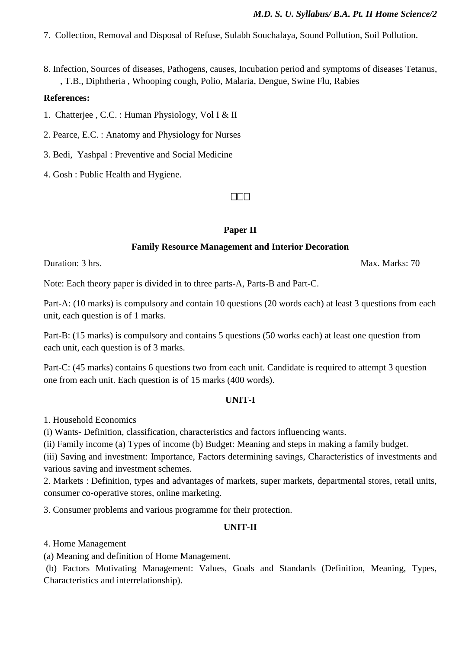7. Collection, Removal and Disposal of Refuse, Sulabh Souchalaya, Sound Pollution, Soil Pollution.

8. Infection, Sources of diseases, Pathogens, causes, Incubation period and symptoms of diseases Tetanus, , T.B., Diphtheria , Whooping cough, Polio, Malaria, Dengue, Swine Flu, Rabies

#### **References:**

1. Chatterjee , C.C. : Human Physiology, Vol I & II

2. Pearce, E.C. : Anatomy and Physiology for Nurses

3. Bedi, Yashpal : Preventive and Social Medicine

4. Gosh : Public Health and Hygiene.

#### $\Box$  $\Box$

#### **Paper II**

#### **Family Resource Management and Interior Decoration**

Duration: 3 hrs. Max. Marks: 70

Note: Each theory paper is divided in to three parts-A, Parts-B and Part-C.

Part-A: (10 marks) is compulsory and contain 10 questions (20 words each) at least 3 questions from each unit, each question is of 1 marks.

Part-B: (15 marks) is compulsory and contains 5 questions (50 works each) at least one question from each unit, each question is of 3 marks.

Part-C: (45 marks) contains 6 questions two from each unit. Candidate is required to attempt 3 question one from each unit. Each question is of 15 marks (400 words).

#### **UNIT-I**

1. Household Economics

(i) Wants- Definition, classification, characteristics and factors influencing wants.

(ii) Family income (a) Types of income (b) Budget: Meaning and steps in making a family budget.

(iii) Saving and investment: Importance, Factors determining savings, Characteristics of investments and various saving and investment schemes.

2. Markets : Definition, types and advantages of markets, super markets, departmental stores, retail units, consumer co-operative stores, online marketing.

3. Consumer problems and various programme for their protection.

## **UNIT-II**

4. Home Management

(a) Meaning and definition of Home Management.

(b) Factors Motivating Management: Values, Goals and Standards (Definition, Meaning, Types, Characteristics and interrelationship).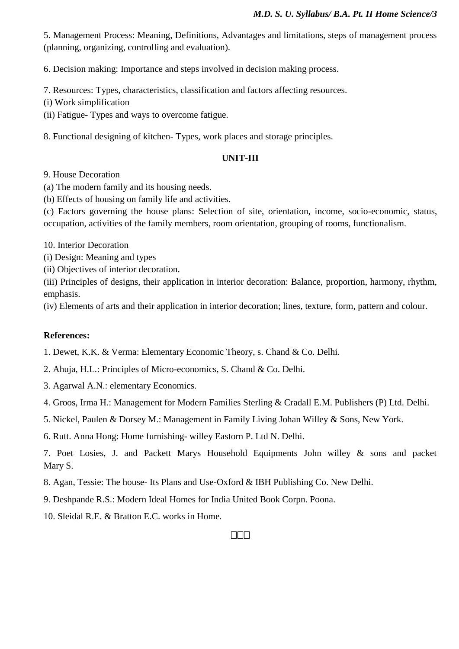5. Management Process: Meaning, Definitions, Advantages and limitations, steps of management process (planning, organizing, controlling and evaluation).

6. Decision making: Importance and steps involved in decision making process.

7. Resources: Types, characteristics, classification and factors affecting resources.

(i) Work simplification

(ii) Fatigue- Types and ways to overcome fatigue.

8. Functional designing of kitchen- Types, work places and storage principles.

### **UNIT-III**

9. House Decoration

(a) The modern family and its housing needs.

(b) Effects of housing on family life and activities.

(c) Factors governing the house plans: Selection of site, orientation, income, socio-economic, status, occupation, activities of the family members, room orientation, grouping of rooms, functionalism.

10. Interior Decoration

(i) Design: Meaning and types

(ii) Objectives of interior decoration.

(iii) Principles of designs, their application in interior decoration: Balance, proportion, harmony, rhythm, emphasis.

(iv) Elements of arts and their application in interior decoration; lines, texture, form, pattern and colour.

#### **References:**

1. Dewet, K.K. & Verma: Elementary Economic Theory, s. Chand & Co. Delhi.

2. Ahuja, H.L.: Principles of Micro-economics, S. Chand & Co. Delhi.

3. Agarwal A.N.: elementary Economics.

4. Groos, Irma H.: Management for Modern Families Sterling & Cradall E.M. Publishers (P) Ltd. Delhi.

5. Nickel, Paulen & Dorsey M.: Management in Family Living Johan Willey & Sons, New York.

6. Rutt. Anna Hong: Home furnishing- willey Eastorn P. Ltd N. Delhi.

7. Poet Losies, J. and Packett Marys Household Equipments John willey & sons and packet Mary S.

- 8. Agan, Tessie: The house- Its Plans and Use-Oxford & IBH Publishing Co. New Delhi.
- 9. Deshpande R.S.: Modern Ideal Homes for India United Book Corpn. Poona.
- 10. Sleidal R.E. & Bratton E.C. works in Home.

#### $\Box\Box\Box$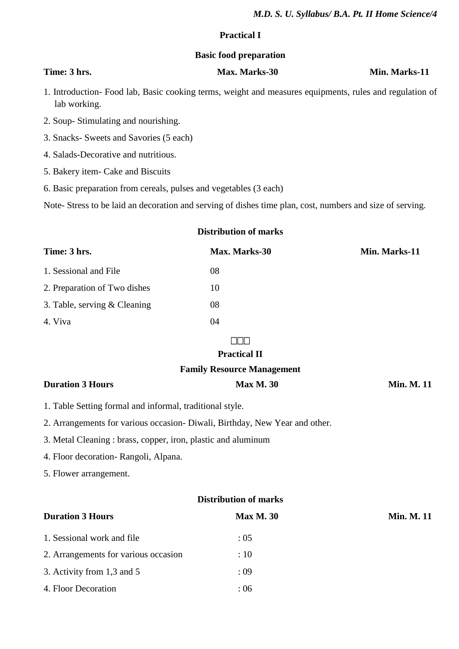#### **Practical I**

#### **Basic food preparation**

## **Time: 3** hrs. Max. Max. Marks-30 Min. Marks-11

1. Introduction- Food lab, Basic cooking terms, weight and measures equipments, rules and regulation of lab working.

- 2. Soup- Stimulating and nourishing.
- 3. Snacks- Sweets and Savories (5 each)
- 4. Salads-Decorative and nutritious.
- 5. Bakery item- Cake and Biscuits
- 6. Basic preparation from cereals, pulses and vegetables (3 each)

Note- Stress to be laid an decoration and serving of dishes time plan, cost, numbers and size of serving.

## **Distribution of marks**

| Time: 3 hrs.                   | Max. Marks-30 | Min. Marks-11 |
|--------------------------------|---------------|---------------|
| 1. Sessional and File          | 08            |               |
| 2. Preparation of Two dishes   | 10            |               |
| 3. Table, serving $&$ Cleaning | 08            |               |
| 4. Viva                        | 04            |               |

#### $\Box$  $\Box$

#### **Practical II**

#### **Family Resource Management**

| <b>Duration 3 Hours</b> | <b>Max M. 30</b> | <b>Min. M. 11</b> |
|-------------------------|------------------|-------------------|
|                         |                  |                   |

- 1. Table Setting formal and informal, traditional style.
- 2. Arrangements for various occasion- Diwali, Birthday, New Year and other.
- 3. Metal Cleaning : brass, copper, iron, plastic and aluminum
- 4. Floor decoration- Rangoli, Alpana.
- 5. Flower arrangement.

| <b>Distribution of marks</b>         |                  |                   |  |
|--------------------------------------|------------------|-------------------|--|
| <b>Duration 3 Hours</b>              | <b>Max M. 30</b> | <b>Min. M. 11</b> |  |
| 1. Sessional work and file           | : 05             |                   |  |
| 2. Arrangements for various occasion | :10              |                   |  |
| 3. Activity from 1,3 and 5           | : 09             |                   |  |
| 4. Floor Decoration                  | :06              |                   |  |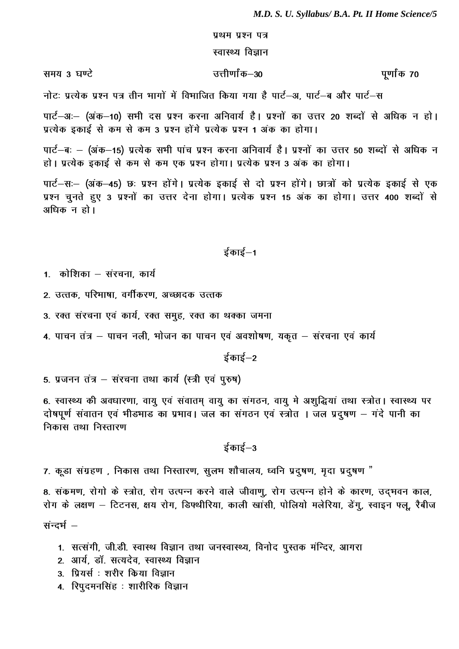#### प्रथम प्रश्न पत्र

#### स्वास्थ्य विज्ञान

समय 3 घण्टे

उत्तीर्णांक–30

पर्णांक 70

नोटः प्रत्येक प्रश्न पत्र तीन भागों में विभाजित किया गया है पार्ट–अ, पार्ट–ब और पार्ट–स

पार्ट-अः- (अंक-10) सभी दस प्रश्न करना अनिवार्य है। प्रश्नों का उत्तर 20 शब्दों से अधिक न हो। प्रत्येक इकाई से कम से कम 3 प्रश्न होंगे प्रत्येक प्रश्न 1 अंक का होगा।

पार्ट–बः – (अंक–15) प्रत्येक सभी पांच प्रश्न करना अनिवार्य है। प्रश्नों का उत्तर 50 शब्दों से अधिक न हो। प्रत्येक इकाई से कम से कम एक प्रश्न होगा। प्रत्येक प्रश्न 3 अंक का होगा।

पार्ट–सः– (अंक–45) छः प्रश्न होंगे। प्रत्येक इकाई से दो प्रश्न होंगे। छात्रों को प्रत्येक इकाई से एक प्रश्न चुनते हुए 3 प्रश्नों का उत्तर देना होगा। प्रत्येक प्रश्न 15 अंक का होगा। उत्तर 400 शब्दों से अधिक न हो।

## ईकाई–1

1. कोशिका – संरचना, कार्य

- 2. उत्तक, परिभाषा, वर्गीकरण, अच्छादक उत्तक
- 3. रक्त संरचना एवं कार्य, रक्त समुह, रक्त का थक्का जमना
- 4. पाचन तंत्र पाचन नली, भोजन का पाचन एवं अवशोषण, यकृत संरचना एवं कार्य

ईकाई $-2$ 

5. प्रजनन तंत्र - संरचना तथा कार्य (स्त्री एवं पुरुष)

6. स्वास्थ्य की अवधारणा, वायु एवं संवातम् वायु का संगठन, वायु मे अशुद्धियां तथा स्त्रोत। स्वास्थ्य पर दोषपूर्ण संवातन एवं भीड़भाड़ का प्रभाव। जल का संगठन एवं स्त्रोत । जल प्रदूषण – गंदे पानी का निकास तथा निस्तारण

 $\frac{1}{5}$ काई $-3$ 

7. कूडा संग्रहण, निकास तथा निस्तारण, सुलभ शौचालय, ध्वनि प्रदुषण, मृदा प्रदुषण "

8. संकमण, रोगो के स्त्रोत, रोग उत्पन्न करने वाले जीवाणु, रोग उत्पन्न होने के कारण, उद्भवन काल, रोग के लक्षण – टिटनस, क्षय रोग, डिफ्थीरिया, काली खांसी, पोलियो मलेरिया, डेंगू, स्वाइन फ्लू, रैबीज संन्दर्भ –

- 1. सत्संगी, जी.डी. स्वास्थ विज्ञान तथा जनस्वास्थ्य, विनोद पुस्तक मन्दिर, आगरा
- 2. आर्य, डॉ. सत्यदेव, स्वास्थ्य विज्ञान
- 3. प्रियर्स : शरीर किया विज्ञान
- 4. रिपुदमनसिंह : शारीरिक विज्ञान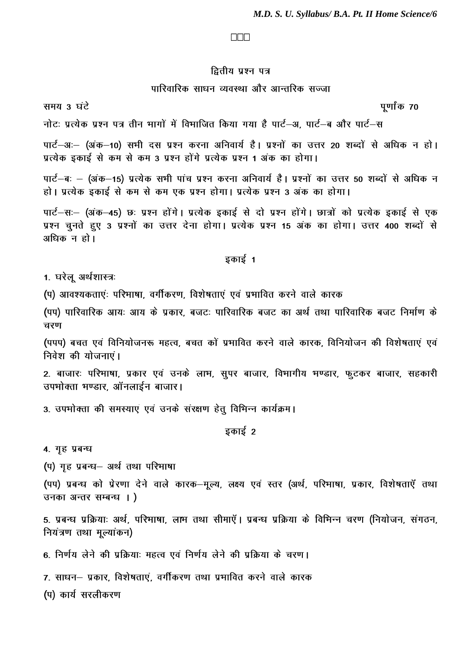#### $\Box$  $\Box$

## द्वितीय प्रश्न पत्र

#### पारिवारिक साधन व्यवस्था और आन्तरिक सज्जा

समय 3 घंटे

पूर्णांक 70

नोटः प्रत्येक प्रश्न पत्र तीन भागों में विभाजित किया गया है पार्ट–अ. पार्ट–ब और पार्ट–स

पार्ट-अः- (अंक-10) सभी दस प्रश्न करना अनिवार्य है। प्रश्नों का उत्तर 20 शब्दों से अधिक न हो। प्रत्येक इकाई से कम से कम 3 प्रश्न होंगे प्रत्येक प्रश्न 1 अंक का होगा।

पार्ट–बः – (अंक–15) प्रत्येक सभी पांच प्रश्न करना अनिवार्य है। प्रश्नों का उत्तर 50 शब्दों से अधिक न हो। प्रत्येक इकाई से कम से कम एक प्रश्न होगा। प्रत्येक प्रश्न 3 अंक का होगा।

पार्ट-सः- (अंक-45) छः प्रश्न होंगे। प्रत्येक इकाई से दो प्रश्न होंगे। छात्रों को प्रत्येक इकाई से एक प्रश्न चुनते हुए 3 प्रश्नों का उत्तर देना होगा। प्रत्येक प्रश्न 15 अंक का होगा। उत्तर 400 शब्दों से अधिक न हो।

## इकाई 1

1. घरेलू अर्थशास्त्रः

(प) आवश्यकताएंः परिभाषा, वर्गीकरण, विशेषताएं एवं प्रभावित करने वाले कारक

(पप) पारिवारिक आयः आय के प्रकार, बजटः पारिवारिक बजट का अर्थ तथा पारिवारिक बजट निर्माण के चरण

(पपप) बचत एवं विनियोजनरू महत्व, बचत कों प्रभावित करने वाले कारक, विनियोजन की विशेषताएं एवं निवेश की योजनाएं।

2. बाजारः परिभाषा, प्रकार एवं उनके लाभ, सूपर बाजार, विभागीय भण्डार, फूटकर बाजार, सहकारी उपभोक्ता भण्डार. ऑनलाईन बाजार।

3. उपभोक्ता की समस्याएं एवं उनके संरक्षण हेतु विभिन्न कार्यक्रम।

इकाई 2

4. गृह प्रबन्ध

(प) गृह प्रबन्ध- अर्थ तथा परिभाषा

(पप) प्रबन्ध को प्रेरणा देने वाले कारक-मूल्य, लक्ष्य एवं स्तर (अर्थ, परिभाषा, प्रकार, विशेषताएँ तथा उनका अन्तर सम्बन्ध ।)

5. प्रबन्ध प्रक्रियाः अर्थ, परिभाषा, लाभ तथा सीमाएँ। प्रबन्ध प्रक्रिया के विभिन्न चरण (नियोजन, संगठन, नियंत्रण तथा मुल्यांकन)

6. निर्णय लेने की प्रक्रियाः महत्व एवं निर्णय लेने की प्रक्रिया के चरण।

7. साधन– प्रकार, विशेषताएं, वर्गीकरण तथा प्रभावित करने वाले कारक

(प) कार्य सरलीकरण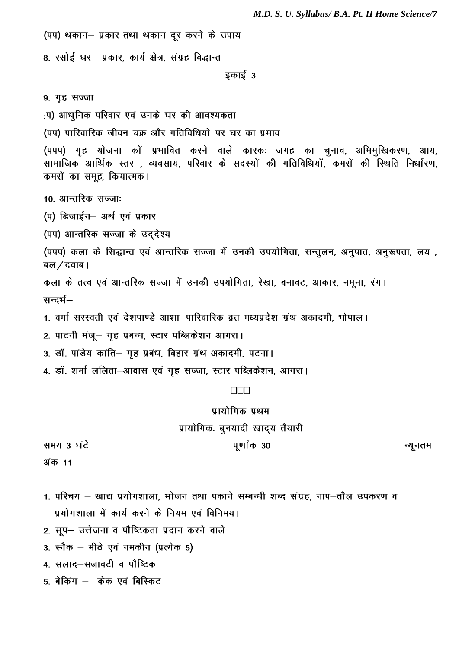M.D. S. U. Syllabus/ B.A. Pt. II Home Science/7

(पप) थकान– प्रकार तथा थकान दूर करने के उपाय

8. रसोई घर- प्रकार, कार्य क्षेत्र, संग्रह विद्धान्त

इकाई 3

9. गृह सज्जा

,प) आधुनिक परिवार एवं उनके घर की आवश्यकता

(पप) पारिवारिक जीवन चक्र और गतिविधियों पर घर का प्रभाव

(पपप) गृह योजना कों प्रभावित करने वाले कारकः जगह का चुनाव, अभिमुखिकरण, आय, सामाजिक-आर्थिक स्तर, व्यवसाय, परिवार के सदस्यों की गतिविधियॉ, कमरों की स्थिति निर्धारण, कमरों का समूह, कियात्मक।

10. आन्तरिक सज्जाः

(प) डिजाईन– अर्थ एवं प्रकार

(पप) आन्तरिक सज्जा के उददेश्य

(पपप) कला के सिद्धान्त एवं आन्तरिक सज्जा में उनकी उपयोगिता, सन्तूलन, अनुपात, अनुरूपता, लय , बल / दवाब।

कला के तत्व एवं आन्तरिक सज्जा में उनकी उपयोगिता, रेखा, बनावट, आकार, नमूना, रंग। सन्दर्भ–

1. वर्मा सरस्वती एवं देशपाण्डे आशा-पारिवारिक व्रत मध्यप्रदेश ग्रंथ अकादमी, भोपाल।

- 2. पाटनी मंजू- गृह प्रबन्ध, स्टार पब्लिकेशन आगरा।
- 3. डॉ. पांडेय कांति- गृह प्रबंध, बिहार ग्रंथ अकादमी, पटना।
- 4. डॉ. शर्मा ललिता-आवास एवं गृह सज्जा, स्टार पब्लिकेशन, आगरा।

#### $\Box \Box \Box$

प्रायोगिक पथम प्रायोगिकः बुनयादी खाद्य तैयारी

समय 3 घंटे

पूर्णांक 30

न्यूनतम

अंक 11

- 1. परिचय खाद्य प्रयोगशाला, भोजन तथा पकाने सम्बन्धी शब्द संग्रह, नाप–तौल उपकरण व प्रयोगशाला में कार्य करने के नियम एवं विनिमय।
- 2. सूप– उत्तेजना व पौष्टिकता प्रदान करने वाले
- 3. स्नैक मीठे एवं नमकीन (प्रत्येक 5)

4. सलाद–सजावटी व पौष्टिक

5. बेकिंग – केक एवं बिस्किट